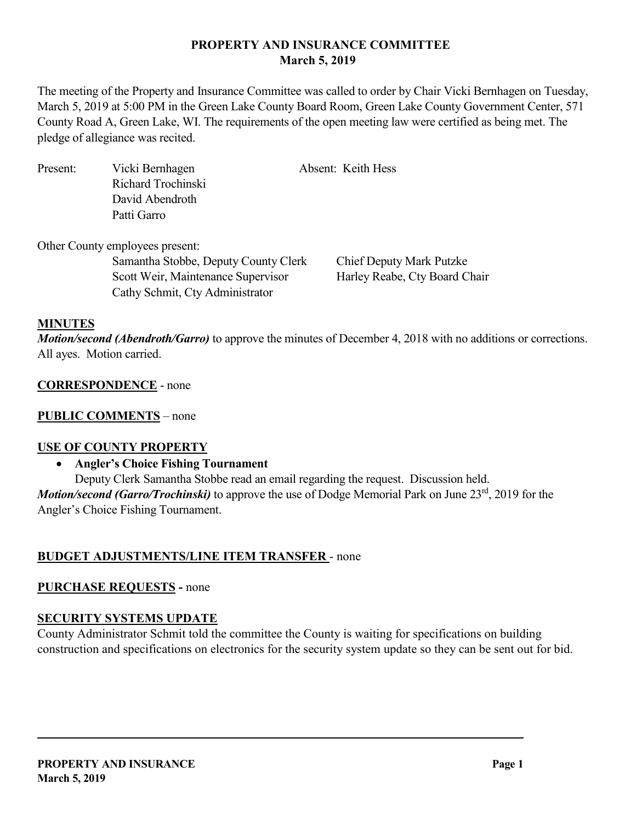# **PROPERTY AND INSURANCE COMMITTEE March 5, 2019**

The meeting of the Property and Insurance Committee was called to order by Chair Vicki Bernhagen on Tuesday, March 5, 2019 at 5:00 PM in the Green Lake County Board Room, Green Lake County Government Center, 571 County Road A, Green Lake, WI. The requirements of the open meeting law were certified as being met. The pledge of allegiance was recited.

Present: Vicki Bernhagen Absent: Keith Hess Richard Trochinski David Abendroth Patti Garro

Other County employees present: Samantha Stobbe, Deputy County Clerk Chief Deputy Mark Putzke Scott Weir, Maintenance Supervisor Harley Reabe, Cty Board Chair Cathy Schmit, Cty Administrator

#### **MINUTES**

*Motion/second (Abendroth/Garro)* to approve the minutes of December 4, 2018 with no additions or corrections. All ayes. Motion carried.

#### **CORRESPONDENCE** - none

## **PUBLIC COMMENTS** – none

## **USE OF COUNTY PROPERTY**

#### • **Angler's Choice Fishing Tournament**

Deputy Clerk Samantha Stobbe read an email regarding the request. Discussion held. *Motion/second (Garro/Trochinski)* to approve the use of Dodge Memorial Park on June 23<sup>rd</sup>, 2019 for the Angler's Choice Fishing Tournament.

## **BUDGET ADJUSTMENTS/LINE ITEM TRANSFER** - none

## **PURCHASE REQUESTS -** none

## **SECURITY SYSTEMS UPDATE**

County Administrator Schmit told the committee the County is waiting for specifications on building construction and specifications on electronics for the security system update so they can be sent out for bid.